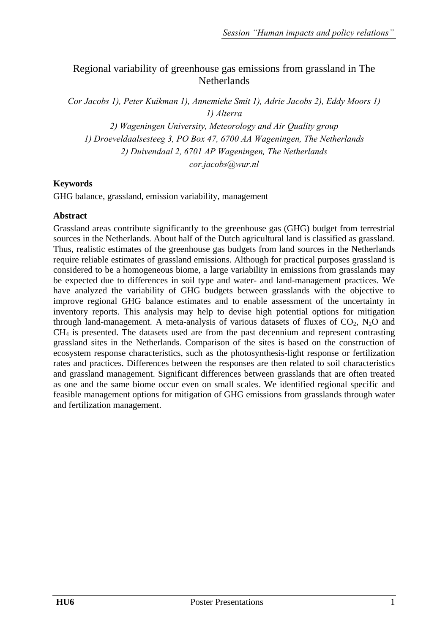# Regional variability of greenhouse gas emissions from grassland in The **Netherlands**

*Cor Jacobs 1), Peter Kuikman 1), Annemieke Smit 1), Adrie Jacobs 2), Eddy Moors 1) 1) Alterra* 

*2) Wageningen University, Meteorology and Air Quality group 1) Droeveldaalsesteeg 3, PO Box 47, 6700 AA Wageningen, The Netherlands 2) Duivendaal 2, 6701 AP Wageningen, The Netherlands cor.jacobs@wur.nl* 

# **Keywords**

GHG balance, grassland, emission variability, management

# **Abstract**

Grassland areas contribute significantly to the greenhouse gas (GHG) budget from terrestrial sources in the Netherlands. About half of the Dutch agricultural land is classified as grassland. Thus, realistic estimates of the greenhouse gas budgets from land sources in the Netherlands require reliable estimates of grassland emissions. Although for practical purposes grassland is considered to be a homogeneous biome, a large variability in emissions from grasslands may be expected due to differences in soil type and water- and land-management practices. We have analyzed the variability of GHG budgets between grasslands with the objective to improve regional GHG balance estimates and to enable assessment of the uncertainty in inventory reports. This analysis may help to devise high potential options for mitigation through land-management. A meta-analysis of various datasets of fluxes of  $CO<sub>2</sub>$ , N<sub>2</sub>O and CH4 is presented. The datasets used are from the past decennium and represent contrasting grassland sites in the Netherlands. Comparison of the sites is based on the construction of ecosystem response characteristics, such as the photosynthesis-light response or fertilization rates and practices. Differences between the responses are then related to soil characteristics and grassland management. Significant differences between grasslands that are often treated as one and the same biome occur even on small scales. We identified regional specific and feasible management options for mitigation of GHG emissions from grasslands through water and fertilization management.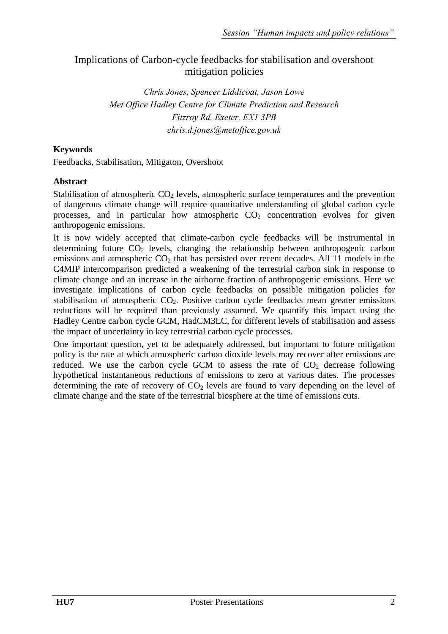# Implications of Carbon-cycle feedbacks for stabilisation and overshoot mitigation policies

*Chris Jones, Spencer Liddicoat, Jason Lowe Met Office Hadley Centre for Climate Prediction and Research Fitzroy Rd, Exeter, EX1 3PB chris.d.jones@metoffice.gov.uk* 

# **Keywords**

Feedbacks, Stabilisation, Mitigaton, Overshoot

### **Abstract**

Stabilisation of atmospheric  $CO<sub>2</sub>$  levels, atmospheric surface temperatures and the prevention of dangerous climate change will require quantitative understanding of global carbon cycle processes, and in particular how atmospheric  $CO<sub>2</sub>$  concentration evolves for given anthropogenic emissions.

It is now widely accepted that climate-carbon cycle feedbacks will be instrumental in determining future  $CO<sub>2</sub>$  levels, changing the relationship between anthropogenic carbon emissions and atmospheric  $CO<sub>2</sub>$  that has persisted over recent decades. All 11 models in the C4MIP intercomparison predicted a weakening of the terrestrial carbon sink in response to climate change and an increase in the airborne fraction of anthropogenic emissions. Here we investigate implications of carbon cycle feedbacks on possible mitigation policies for stabilisation of atmospheric  $CO<sub>2</sub>$ . Positive carbon cycle feedbacks mean greater emissions reductions will be required than previously assumed. We quantify this impact using the Hadley Centre carbon cycle GCM, HadCM3LC, for different levels of stabilisation and assess the impact of uncertainty in key terrestrial carbon cycle processes.

One important question, yet to be adequately addressed, but important to future mitigation policy is the rate at which atmospheric carbon dioxide levels may recover after emissions are reduced. We use the carbon cycle GCM to assess the rate of  $CO<sub>2</sub>$  decrease following hypothetical instantaneous reductions of emissions to zero at various dates. The processes determining the rate of recovery of  $CO<sub>2</sub>$  levels are found to vary depending on the level of climate change and the state of the terrestrial biosphere at the time of emissions cuts.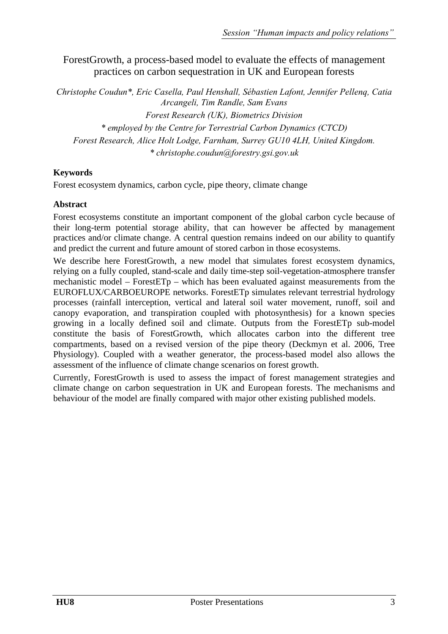ForestGrowth, a process-based model to evaluate the effects of management practices on carbon sequestration in UK and European forests

*Christophe Coudun\*, Eric Casella, Paul Henshall, Sébastien Lafont, Jennifer Pellenq, Catia Arcangeli, Tim Randle, Sam Evans Forest Research (UK), Biometrics Division \* employed by the Centre for Terrestrial Carbon Dynamics (CTCD) Forest Research, Alice Holt Lodge, Farnham, Surrey GU10 4LH, United Kingdom. \* christophe.coudun@forestry.gsi.gov.uk* 

## **Keywords**

Forest ecosystem dynamics, carbon cycle, pipe theory, climate change

#### **Abstract**

Forest ecosystems constitute an important component of the global carbon cycle because of their long-term potential storage ability, that can however be affected by management practices and/or climate change. A central question remains indeed on our ability to quantify and predict the current and future amount of stored carbon in those ecosystems.

We describe here ForestGrowth, a new model that simulates forest ecosystem dynamics, relying on a fully coupled, stand-scale and daily time-step soil-vegetation-atmosphere transfer mechanistic model – ForestETp – which has been evaluated against measurements from the EUROFLUX/CARBOEUROPE networks. ForestETp simulates relevant terrestrial hydrology processes (rainfall interception, vertical and lateral soil water movement, runoff, soil and canopy evaporation, and transpiration coupled with photosynthesis) for a known species growing in a locally defined soil and climate. Outputs from the ForestETp sub-model constitute the basis of ForestGrowth, which allocates carbon into the different tree compartments, based on a revised version of the pipe theory (Deckmyn et al. 2006, Tree Physiology). Coupled with a weather generator, the process-based model also allows the assessment of the influence of climate change scenarios on forest growth.

Currently, ForestGrowth is used to assess the impact of forest management strategies and climate change on carbon sequestration in UK and European forests. The mechanisms and behaviour of the model are finally compared with major other existing published models.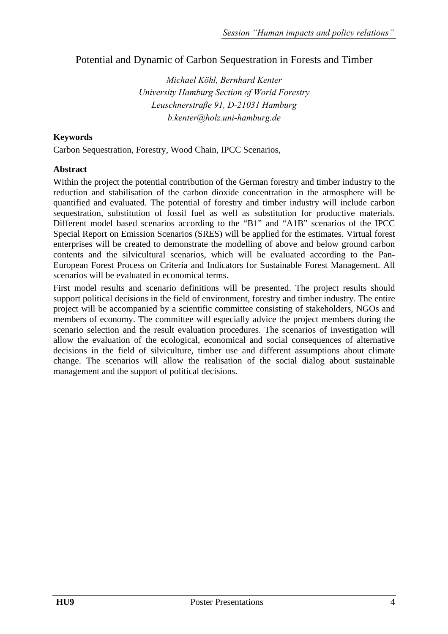# Potential and Dynamic of Carbon Sequestration in Forests and Timber

*Michael Köhl, Bernhard Kenter University Hamburg Section of World Forestry Leuschnerstraße 91, D-21031 Hamburg b.kenter@holz.uni-hamburg.de* 

### **Keywords**

Carbon Sequestration, Forestry, Wood Chain, IPCC Scenarios,

### **Abstract**

Within the project the potential contribution of the German forestry and timber industry to the reduction and stabilisation of the carbon dioxide concentration in the atmosphere will be quantified and evaluated. The potential of forestry and timber industry will include carbon sequestration, substitution of fossil fuel as well as substitution for productive materials. Different model based scenarios according to the "B1" and "A1B" scenarios of the IPCC Special Report on Emission Scenarios (SRES) will be applied for the estimates. Virtual forest enterprises will be created to demonstrate the modelling of above and below ground carbon contents and the silvicultural scenarios, which will be evaluated according to the Pan-European Forest Process on Criteria and Indicators for Sustainable Forest Management. All scenarios will be evaluated in economical terms.

First model results and scenario definitions will be presented. The project results should support political decisions in the field of environment, forestry and timber industry. The entire project will be accompanied by a scientific committee consisting of stakeholders, NGOs and members of economy. The committee will especially advice the project members during the scenario selection and the result evaluation procedures. The scenarios of investigation will allow the evaluation of the ecological, economical and social consequences of alternative decisions in the field of silviculture, timber use and different assumptions about climate change. The scenarios will allow the realisation of the social dialog about sustainable management and the support of political decisions.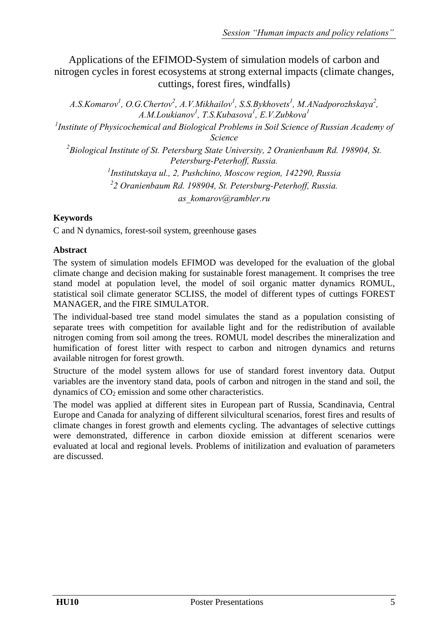Applications of the EFIMOD-System of simulation models of carbon and nitrogen cycles in forest ecosystems at strong external impacts (climate changes, cuttings, forest fires, windfalls)

A.S.Komarov<sup>1</sup>, O.G.Chertov<sup>2</sup>, A.V.Mikhailov<sup>1</sup>, S.S.Bykhovets<sup>1</sup>, M.ANadporozhskaya<sup>2</sup>, *A.M.Loukianov<sup>1</sup>*, *T.S.Kubasova<sup>1</sup>*, *E.V.Zubkova<sup>1</sup>*<br><sup>*1*</sup> Institute of Physicochemical and Piological Problems in Soil Science

*Institute of Physicochemical and Biological Problems in Soil Science of Russian Academy of Science* 

*2 Biological Institute of St. Petersburg State University, 2 Oranienbaum Rd. 198904, St. Petersburg-Peterhoff, Russia.* 

*1 Institutskaya ul., 2, Pushchino, Moscow region, 142290, Russia 2 2 Oranienbaum Rd. 198904, St. Petersburg-Peterhoff, Russia. as\_komarov@rambler.ru* 

# **Keywords**

C and N dynamics, forest-soil system, greenhouse gases

## **Abstract**

The system of simulation models EFIMOD was developed for the evaluation of the global climate change and decision making for sustainable forest management. It comprises the tree stand model at population level, the model of soil organic matter dynamics ROMUL, statistical soil climate generator SCLISS, the model of different types of cuttings FOREST MANAGER, and the FIRE SIMULATOR.

The individual-based tree stand model simulates the stand as a population consisting of separate trees with competition for available light and for the redistribution of available nitrogen coming from soil among the trees. ROMUL model describes the mineralization and humification of forest litter with respect to carbon and nitrogen dynamics and returns available nitrogen for forest growth.

Structure of the model system allows for use of standard forest inventory data. Output variables are the inventory stand data, pools of carbon and nitrogen in the stand and soil, the dynamics of  $CO<sub>2</sub>$  emission and some other characteristics.

The model was applied at different sites in European part of Russia, Scandinavia, Central Europe and Canada for analyzing of different silvicultural scenarios, forest fires and results of climate changes in forest growth and elements cycling. The advantages of selective cuttings were demonstrated, difference in carbon dioxide emission at different scenarios were evaluated at local and regional levels. Problems of initilization and evaluation of parameters are discussed.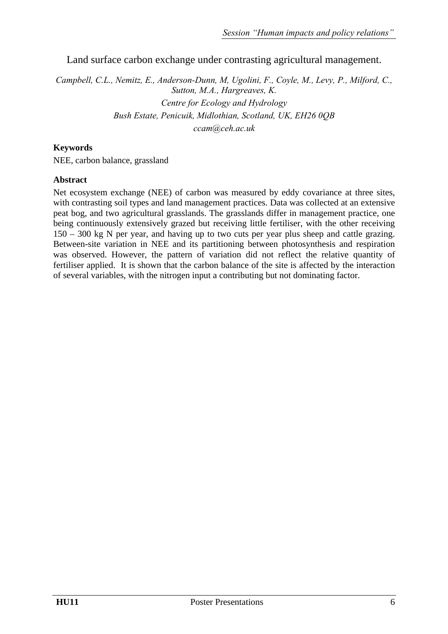Land surface carbon exchange under contrasting agricultural management.

*Campbell, C.L., Nemitz, E., Anderson-Dunn, M, Ugolini, F., Coyle, M., Levy, P., Milford, C., Sutton, M.A., Hargreaves, K. Centre for Ecology and Hydrology Bush Estate, Penicuik, Midlothian, Scotland, UK, EH26 0QB ccam@ceh.ac.uk* 

### **Keywords**

NEE, carbon balance, grassland

#### **Abstract**

Net ecosystem exchange (NEE) of carbon was measured by eddy covariance at three sites, with contrasting soil types and land management practices. Data was collected at an extensive peat bog, and two agricultural grasslands. The grasslands differ in management practice, one being continuously extensively grazed but receiving little fertiliser, with the other receiving 150 – 300 kg N per year, and having up to two cuts per year plus sheep and cattle grazing. Between-site variation in NEE and its partitioning between photosynthesis and respiration was observed. However, the pattern of variation did not reflect the relative quantity of fertiliser applied. It is shown that the carbon balance of the site is affected by the interaction of several variables, with the nitrogen input a contributing but not dominating factor.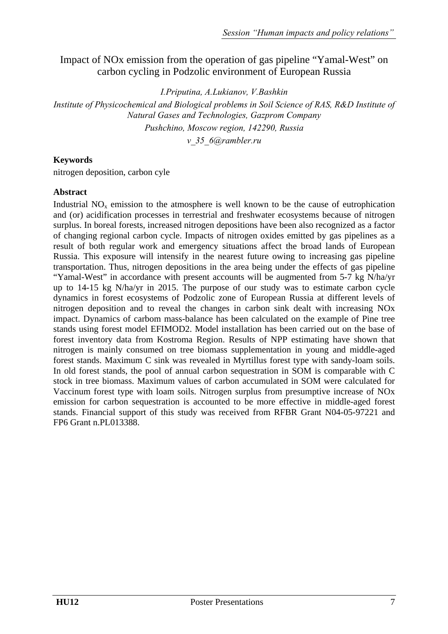# Impact of NOx emission from the operation of gas pipeline "Yamal-West" on carbon cycling in Podzolic environment of European Russia

*I.Priputina, A.Lukianov, V.Bashkin* 

*Institute of Physicochemical and Biological problems in Soil Science of RAS, R&D Institute of Natural Gases and Technologies, Gazprom Company Pushchino, Moscow region, 142290, Russia* 

*v\_35\_6@rambler.ru* 

### **Keywords**

nitrogen deposition, carbon cyle

#### **Abstract**

Industrial  $NO<sub>x</sub>$  emission to the atmosphere is well known to be the cause of eutrophication and (or) acidification processes in terrestrial and freshwater ecosystems because of nitrogen surplus. In boreal forests, increased nitrogen depositions have been also recognized as a factor of changing regional carbon cycle. Impacts of nitrogen oxides emitted by gas pipelines as a result of both regular work and emergency situations affect the broad lands of European Russia. This exposure will intensify in the nearest future owing to increasing gas pipeline transportation. Thus, nitrogen depositions in the area being under the effects of gas pipeline "Yamal-West" in accordance with present accounts will be augmented from 5-7 kg N/ha/yr up to 14-15 kg N/ha/yr in 2015. The purpose of our study was to estimate carbon cycle dynamics in forest ecosystems of Podzolic zone of European Russia at different levels of nitrogen deposition and to reveal the changes in carbon sink dealt with increasing NOx impact. Dynamics of carbom mass-balance has been calculated on the example of Pine tree stands using forest model EFIMOD2. Model installation has been carried out on the base of forest inventory data from Kostroma Region. Results of NPP estimating have shown that nitrogen is mainly consumed on tree biomass supplementation in young and middle-aged forest stands. Maximum C sink was revealed in Myrtillus forest type with sandy-loam soils. In old forest stands, the pool of annual carbon sequestration in SOM is comparable with C stock in tree biomass. Maximum values of carbon accumulated in SOM were calculated for Vaccinum forest type with loam soils. Nitrogen surplus from presumptive increase of NOx emission for carbon sequestration is accounted to be more effective in middle-aged forest stands. Financial support of this study was received from RFBR Grant N04-05-97221 and FP6 Grant n.PL013388.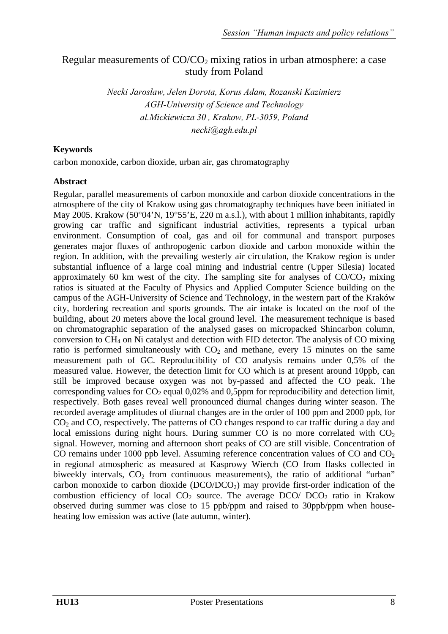# Regular measurements of  $CO/CO<sub>2</sub>$  mixing ratios in urban atmosphere: a case study from Poland

*Necki Jarosław, Jelen Dorota, Korus Adam, Rozanski Kazimierz AGH-University of Science and Technology al.Mickiewicza 30 , Krakow, PL-3059, Poland necki@agh.edu.pl* 

## **Keywords**

carbon monoxide, carbon dioxide, urban air, gas chromatography

#### **Abstract**

Regular, parallel measurements of carbon monoxide and carbon dioxide concentrations in the atmosphere of the city of Krakow using gas chromatography techniques have been initiated in May 2005. Krakow (50°04'N, 19°55'E, 220 m a.s.l.), with about 1 million inhabitants, rapidly growing car traffic and significant industrial activities, represents a typical urban environment. Consumption of coal, gas and oil for communal and transport purposes generates major fluxes of anthropogenic carbon dioxide and carbon monoxide within the region. In addition, with the prevailing westerly air circulation, the Krakow region is under substantial influence of a large coal mining and industrial centre (Upper Silesia) located approximately 60 km west of the city. The sampling site for analyses of  $CO/CO<sub>2</sub>$  mixing ratios is situated at the Faculty of Physics and Applied Computer Science building on the campus of the AGH-University of Science and Technology, in the western part of the Kraków city, bordering recreation and sports grounds. The air intake is located on the roof of the building, about 20 meters above the local ground level. The measurement technique is based on chromatographic separation of the analysed gases on micropacked Shincarbon column, conversion to CH4 on Ni catalyst and detection with FID detector. The analysis of CO mixing ratio is performed simultaneously with  $CO<sub>2</sub>$  and methane, every 15 minutes on the same measurement path of GC. Reproducibility of CO analysis remains under 0,5% of the measured value. However, the detection limit for CO which is at present around 10ppb, can still be improved because oxygen was not by-passed and affected the CO peak. The corresponding values for  $CO_2$  equal 0,02% and 0,5ppm for reproducibility and detection limit, respectively. Both gases reveal well pronounced diurnal changes during winter season. The recorded average amplitudes of diurnal changes are in the order of 100 ppm and 2000 ppb, for CO<sub>2</sub> and CO, respectively. The patterns of CO changes respond to car traffic during a day and local emissions during night hours. During summer CO is no more correlated with  $CO<sub>2</sub>$ signal. However, morning and afternoon short peaks of CO are still visible. Concentration of CO remains under 1000 ppb level. Assuming reference concentration values of CO and  $CO<sub>2</sub>$ in regional atmospheric as measured at Kasprowy Wierch (CO from flasks collected in biweekly intervals,  $CO<sub>2</sub>$  from continuous measurements), the ratio of additional "urban" carbon monoxide to carbon dioxide  $(DCO/DCO<sub>2</sub>)$  may provide first-order indication of the combustion efficiency of local  $CO<sub>2</sub>$  source. The average  $DCO/DCO<sub>2</sub>$  ratio in Krakow observed during summer was close to 15 ppb/ppm and raised to 30ppb/ppm when househeating low emission was active (late autumn, winter).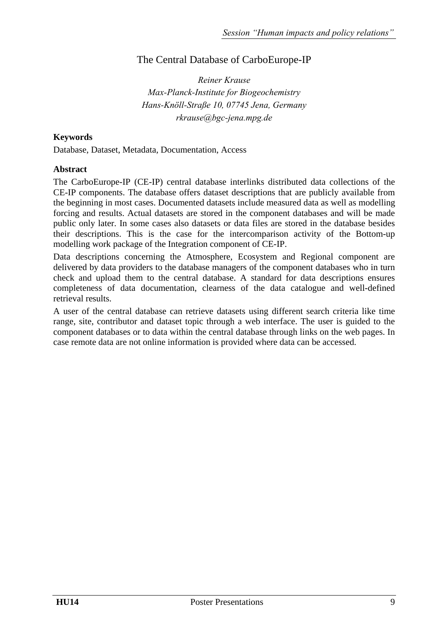# The Central Database of CarboEurope-IP

*Reiner Krause Max-Planck-Institute for Biogeochemistry Hans-Knöll-Straße 10, 07745 Jena, Germany rkrause@bgc-jena.mpg.de* 

## **Keywords**

Database, Dataset, Metadata, Documentation, Access

#### **Abstract**

The CarboEurope-IP (CE-IP) central database interlinks distributed data collections of the CE-IP components. The database offers dataset descriptions that are publicly available from the beginning in most cases. Documented datasets include measured data as well as modelling forcing and results. Actual datasets are stored in the component databases and will be made public only later. In some cases also datasets or data files are stored in the database besides their descriptions. This is the case for the intercomparison activity of the Bottom-up modelling work package of the Integration component of CE-IP.

Data descriptions concerning the Atmosphere, Ecosystem and Regional component are delivered by data providers to the database managers of the component databases who in turn check and upload them to the central database. A standard for data descriptions ensures completeness of data documentation, clearness of the data catalogue and well-defined retrieval results.

A user of the central database can retrieve datasets using different search criteria like time range, site, contributor and dataset topic through a web interface. The user is guided to the component databases or to data within the central database through links on the web pages. In case remote data are not online information is provided where data can be accessed.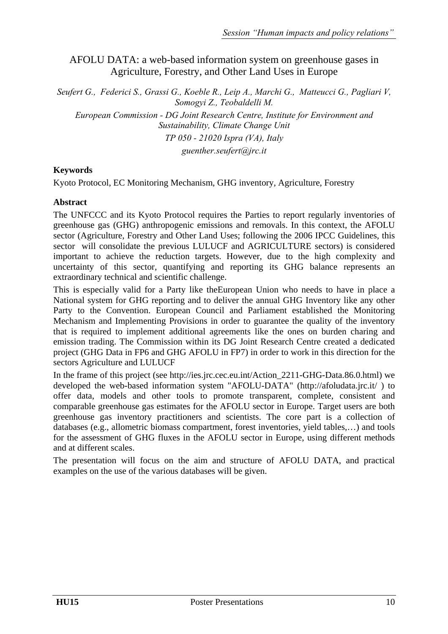# AFOLU DATA: a web-based information system on greenhouse gases in Agriculture, Forestry, and Other Land Uses in Europe

*Seufert G., Federici S., Grassi G., Koeble R., Leip A., Marchi G., Matteucci G., Pagliari V, Somogyi Z., Teobaldelli M.* 

*European Commission - DG Joint Research Centre, Institute for Environment and Sustainability, Climate Change Unit* 

*TP 050 - 21020 Ispra (VA), Italy* 

*guenther.seufert@jrc.it* 

### **Keywords**

Kyoto Protocol, EC Monitoring Mechanism, GHG inventory, Agriculture, Forestry

### **Abstract**

The UNFCCC and its Kyoto Protocol requires the Parties to report regularly inventories of greenhouse gas (GHG) anthropogenic emissions and removals. In this context, the AFOLU sector (Agriculture, Forestry and Other Land Uses; following the 2006 IPCC Guidelines, this sector will consolidate the previous LULUCF and AGRICULTURE sectors) is considered important to achieve the reduction targets. However, due to the high complexity and uncertainty of this sector, quantifying and reporting its GHG balance represents an extraordinary technical and scientific challenge.

This is especially valid for a Party like theEuropean Union who needs to have in place a National system for GHG reporting and to deliver the annual GHG Inventory like any other Party to the Convention. European Council and Parliament established the Monitoring Mechanism and Implementing Provisions in order to guarantee the quality of the inventory that is required to implement additional agreements like the ones on burden charing and emission trading. The Commission within its DG Joint Research Centre created a dedicated project (GHG Data in FP6 and GHG AFOLU in FP7) in order to work in this direction for the sectors Agriculture and LULUCF

In the frame of this project (see http://ies.jrc.cec.eu.int/Action 2211-GHG-Data.86.0.html) we developed the web-based information system "AFOLU-DATA" (http://afoludata.jrc.it/ ) to offer data, models and other tools to promote transparent, complete, consistent and comparable greenhouse gas estimates for the AFOLU sector in Europe. Target users are both greenhouse gas inventory practitioners and scientists. The core part is a collection of databases (e.g., allometric biomass compartment, forest inventories, yield tables,…) and tools for the assessment of GHG fluxes in the AFOLU sector in Europe, using different methods and at different scales.

The presentation will focus on the aim and structure of AFOLU DATA, and practical examples on the use of the various databases will be given.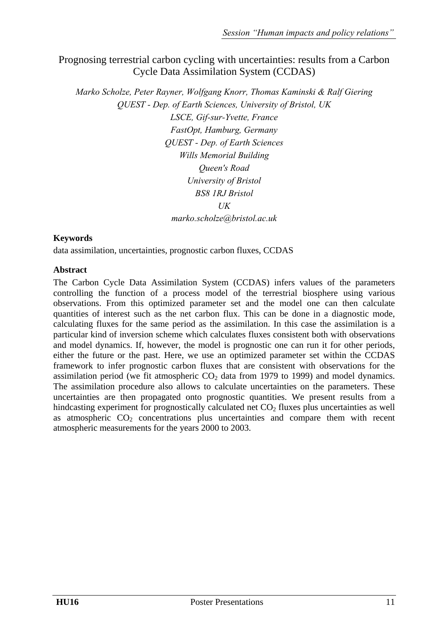# Prognosing terrestrial carbon cycling with uncertainties: results from a Carbon Cycle Data Assimilation System (CCDAS)

*Marko Scholze, Peter Rayner, Wolfgang Knorr, Thomas Kaminski & Ralf Giering QUEST - Dep. of Earth Sciences, University of Bristol, UK LSCE, Gif-sur-Yvette, France FastOpt, Hamburg, Germany QUEST - Dep. of Earth Sciences Wills Memorial Building Queen's Road University of Bristol BS8 1RJ Bristol*   $I/K$ *marko.scholze@bristol.ac.uk* 

### **Keywords**

data assimilation, uncertainties, prognostic carbon fluxes, CCDAS

### **Abstract**

The Carbon Cycle Data Assimilation System (CCDAS) infers values of the parameters controlling the function of a process model of the terrestrial biosphere using various observations. From this optimized parameter set and the model one can then calculate quantities of interest such as the net carbon flux. This can be done in a diagnostic mode, calculating fluxes for the same period as the assimilation. In this case the assimilation is a particular kind of inversion scheme which calculates fluxes consistent both with observations and model dynamics. If, however, the model is prognostic one can run it for other periods, either the future or the past. Here, we use an optimized parameter set within the CCDAS framework to infer prognostic carbon fluxes that are consistent with observations for the assimilation period (we fit atmospheric  $CO<sub>2</sub>$  data from 1979 to 1999) and model dynamics. The assimilation procedure also allows to calculate uncertainties on the parameters. These uncertainties are then propagated onto prognostic quantities. We present results from a hindcasting experiment for prognostically calculated net  $CO<sub>2</sub>$  fluxes plus uncertainties as well as atmospheric  $CO<sub>2</sub>$  concentrations plus uncertainties and compare them with recent atmospheric measurements for the years 2000 to 2003.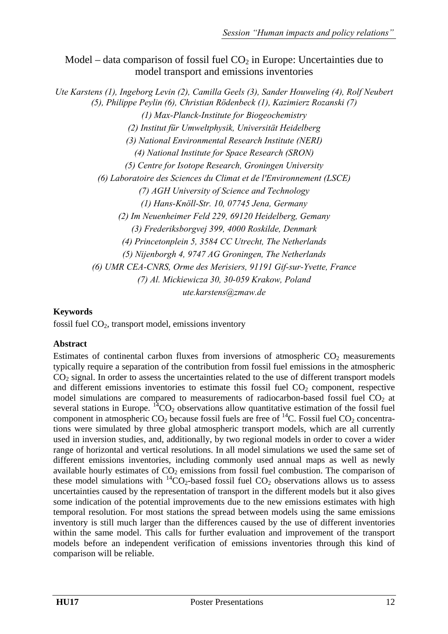Model – data comparison of fossil fuel  $CO<sub>2</sub>$  in Europe: Uncertainties due to model transport and emissions inventories

*Ute Karstens (1), Ingeborg Levin (2), Camilla Geels (3), Sander Houweling (4), Rolf Neubert (5), Philippe Peylin (6), Christian Rödenbeck (1), Kazimierz Rozanski (7) (1) Max-Planck-Institute for Biogeochemistry (2) Institut für Umweltphysik, Universität Heidelberg (3) National Environmental Research Institute (NERI) (4) National Institute for Space Research (SRON) (5) Centre for Isotope Research, Groningen University (6) Laboratoire des Sciences du Climat et de l'Environnement (LSCE) (7) AGH University of Science and Technology (1) Hans-Knöll-Str. 10, 07745 Jena, Germany (2) Im Neuenheimer Feld 229, 69120 Heidelberg, Gemany (3) Frederiksborgvej 399, 4000 Roskilde, Denmark (4) Princetonplein 5, 3584 CC Utrecht, The Netherlands (5) Nijenborgh 4, 9747 AG Groningen, The Netherlands (6) UMR CEA-CNRS, Orme des Merisiers, 91191 Gif-sur-Yvette, France (7) Al. Mickiewicza 30, 30-059 Krakow, Poland ute.karstens@zmaw.de* 

# **Keywords**

fossil fuel CO2, transport model, emissions inventory

### **Abstract**

Estimates of continental carbon fluxes from inversions of atmospheric  $CO<sub>2</sub>$  measurements typically require a separation of the contribution from fossil fuel emissions in the atmospheric  $CO<sub>2</sub>$  signal. In order to assess the uncertainties related to the use of different transport models and different emissions inventories to estimate this fossil fuel  $CO<sub>2</sub>$  component, respective model simulations are compared to measurements of radiocarbon-based fossil fuel  $CO<sub>2</sub>$  at several stations in Europe.  ${}^{14}CO_2$  observations allow quantitative estimation of the fossil fuel component in atmospheric  $CO_2$  because fossil fuels are free of <sup>14</sup>C. Fossil fuel  $CO_2$  concentrations were simulated by three global atmospheric transport models, which are all currently used in inversion studies, and, additionally, by two regional models in order to cover a wider range of horizontal and vertical resolutions. In all model simulations we used the same set of different emissions inventories, including commonly used annual maps as well as newly available hourly estimates of  $CO<sub>2</sub>$  emissions from fossil fuel combustion. The comparison of these model simulations with  ${}^{14}CO_2$ -based fossil fuel  $CO_2$  observations allows us to assess uncertainties caused by the representation of transport in the different models but it also gives some indication of the potential improvements due to the new emissions estimates with high temporal resolution. For most stations the spread between models using the same emissions inventory is still much larger than the differences caused by the use of different inventories within the same model. This calls for further evaluation and improvement of the transport models before an independent verification of emissions inventories through this kind of comparison will be reliable.